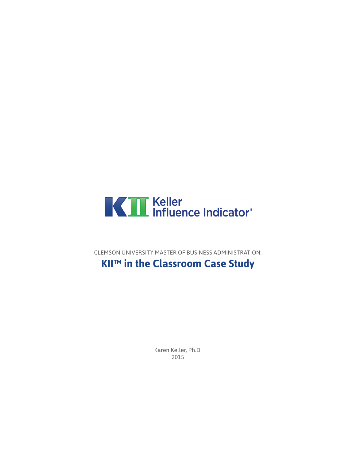

CLEMSON UNIVERSITY MASTER OF BUSINESS ADMINISTRATION:

## **KII™ in the Classroom Case Study**

Karen Keller, Ph.D. 2015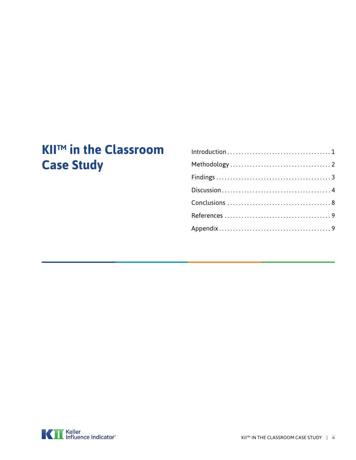# **KII™ in the Classroom Case Study**

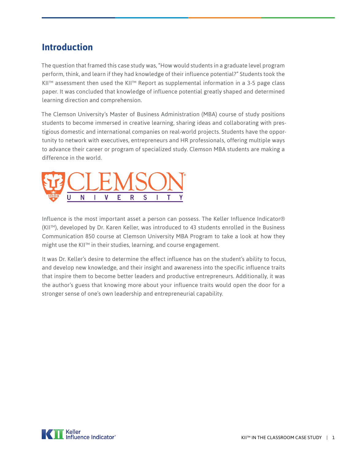#### <span id="page-2-0"></span>**Introduction**

The question that framed this case study was, "How would students in a graduate level program perform, think, and learn if they had knowledge of their influence potential?" Students took the KII™ assessment then used the KII™ Report as supplemental information in a 3-5 page class paper. It was concluded that knowledge of influence potential greatly shaped and determined learning direction and comprehension.

The Clemson University's Master of Business Administration (MBA) course of study positions students to become immersed in creative learning, sharing ideas and collaborating with prestigious domestic and international companies on real-world projects. Students have the opportunity to network with executives, entrepreneurs and HR professionals, offering multiple ways to advance their career or program of specialized study. Clemson MBA students are making a difference in the world.



Influence is the most important asset a person can possess. The Keller Influence Indicator® (KII™), developed by Dr. Karen Keller, was introduced to 43 students enrolled in the Business Communication 850 course at Clemson University MBA Program to take a look at how they might use the KII™ in their studies, learning, and course engagement.

It was Dr. Keller's desire to determine the effect influence has on the student's ability to focus, and develop new knowledge, and their insight and awareness into the specific influence traits that inspire them to become better leaders and productive entrepreneurs. Additionally, it was the author's guess that knowing more about your influence traits would open the door for a stronger sense of one's own leadership and entrepreneurial capability.

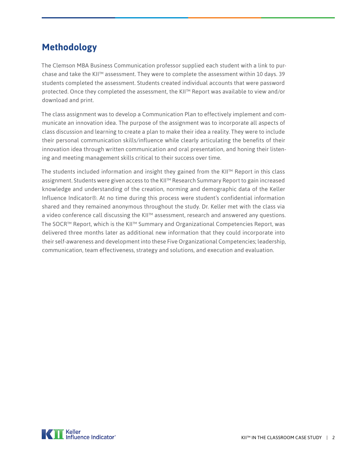## <span id="page-3-0"></span>**Methodology**

The Clemson MBA Business Communication professor supplied each student with a link to purchase and take the KII™ assessment. They were to complete the assessment within 10 days. 39 students completed the assessment. Students created individual accounts that were password protected. Once they completed the assessment, the KII™ Report was available to view and/or download and print.

The class assignment was to develop a Communication Plan to effectively implement and communicate an innovation idea. The purpose of the assignment was to incorporate all aspects of class discussion and learning to create a plan to make their idea a reality. They were to include their personal communication skills/influence while clearly articulating the benefits of their innovation idea through written communication and oral presentation, and honing their listening and meeting management skills critical to their success over time.

The students included information and insight they gained from the KII™ Report in this class assignment. Students were given access to the KII™ Research Summary Report to gain increased knowledge and understanding of the creation, norming and demographic data of the Keller Influence Indicator®. At no time during this process were student's confidential information shared and they remained anonymous throughout the study. Dr. Keller met with the class via a video conference call discussing the KII™ assessment, research and answered any questions. The SOCR™ Report, which is the KII™ Summary and Organizational Competencies Report, was delivered three months later as additional new information that they could incorporate into their self-awareness and development into these Five Organizational Competencies; leadership, communication, team effectiveness, strategy and solutions, and execution and evaluation.

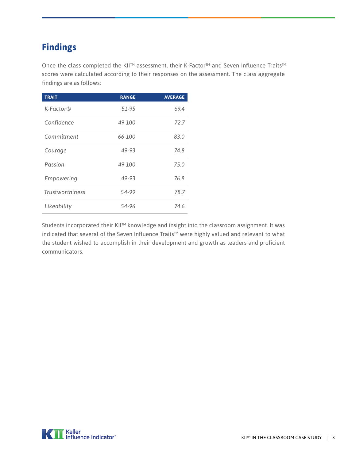## <span id="page-4-0"></span>**Findings**

Once the class completed the KII™ assessment, their K-Factor™ and Seven Influence Traits™ scores were calculated according to their responses on the assessment. The class aggregate findings are as follows:

| <b>TRAIT</b>            | <b>RANGE</b> | <b>AVERAGE</b> |
|-------------------------|--------------|----------------|
| $K$ -Factor $\mathbb R$ | 51-95        | 69.4           |
| Confidence              | 49-100       | 72.7           |
| Commitment              | 66-100       | 83.0           |
| Courage                 | 49-93        | 74.8           |
| Passion                 | 49-100       | 75.0           |
| Empowering              | 49-93        | 76.8           |
| <b>Trustworthiness</b>  | 54-99        | 78.7           |
| Likeability             | 54-96        | 74.6           |

Students incorporated their KII™ knowledge and insight into the classroom assignment. It was indicated that several of the Seven Influence Traits™ were highly valued and relevant to what the student wished to accomplish in their development and growth as leaders and proficient communicators.

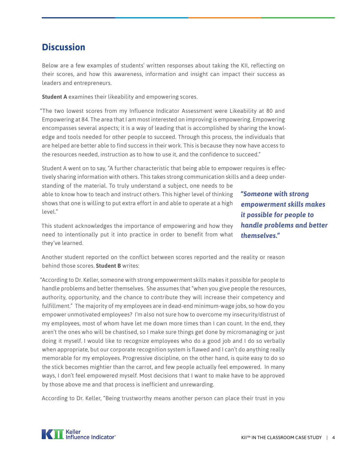#### <span id="page-5-0"></span>**Discussion**

Below are a few examples of students' written responses about taking the KII, reflecting on their scores, and how this awareness, information and insight can impact their success as leaders and entrepreneurs.

**Student A** examines their likeability and empowering scores.

"The two lowest scores from my Influence Indicator Assessment were Likeability at 80 and Empowering at 84. The area that I am most interested on improving is empowering. Empowering encompasses several aspects; it is a way of leading that is accomplished by sharing the knowledge and tools needed for other people to succeed. Through this process, the individuals that are helped are better able to find success in their work. This is because they now have access to the resources needed, instruction as to how to use it, and the confidence to succeed."

Student A went on to say, "A further characteristic that being able to empower requires is effectively sharing information with others. This takes strong communication skills and a deep understanding of the material. To truly understand a subject, one needs to be able to know how to teach and instruct others. This higher level of thinking shows that one is willing to put extra effort in and able to operate at a high level."

*"Someone with strong empowerment skills makes it possible for people to handle problems and better themselves."*

This student acknowledges the importance of empowering and how they need to intentionally put it into practice in order to benefit from what they've learned.

Another student reported on the conflict between scores reported and the reality or reason behind those scores. **Student B** writes:

"According to Dr. Keller, someone with strong empowerment skills makes it possible for people to handle problems and better themselves. She assumes that "when you give people the resources, authority, opportunity, and the chance to contribute they will increase their competency and fulfillment." The majority of my employees are in dead-end minimum-wage jobs, so how do you empower unmotivated employees? I'm also not sure how to overcome my insecurity/distrust of my employees, most of whom have let me down more times than I can count. In the end, they aren't the ones who will be chastised, so I make sure things get done by micromanaging or just doing it myself. I would like to recognize employees who do a good job and I do so verbally when appropriate, but our corporate recognition system is flawed and I can't do anything really memorable for my employees. Progressive discipline, on the other hand, is quite easy to do so the stick becomes mightier than the carrot, and few people actually feel empowered. In many ways, I don't feel empowered myself. Most decisions that I want to make have to be approved by those above me and that process is inefficient and unrewarding.

According to Dr. Keller, "Being trustworthy means another person can place their trust in you

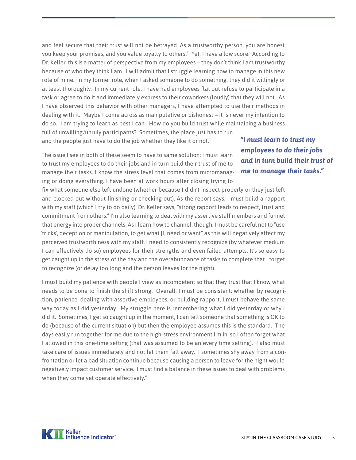and feel secure that their trust will not be betrayed. As a trustworthy person, you are honest, you keep your promises, and you value loyalty to others." Yet, I have a low score. According to Dr. Keller, this is a matter of perspective from my employees – they don't think I am trustworthy because of who they think I am. I will admit that I struggle learning how to manage in this new role of mine. In my former role, when I asked someone to do something, they did it willingly or at least thoroughly. In my current role, I have had employees flat out refuse to participate in a task or agree to do it and immediately express to their coworkers (loudly) that they will not. As I have observed this behavior with other managers, I have attempted to use their methods in dealing with it. Maybe I come across as manipulative or dishonest – it is never my intention to do so. I am trying to learn as best I can. How do you build trust while maintaining a business full of unwilling/unruly participants? Sometimes, the place just has to run and the people just have to do the job whether they like it or not.

The issue I see in both of these seem to have to same solution: I must learn to trust my employees to do their jobs and in turn build their trust of me to manage their tasks. I know the stress level that comes from micromanaging or doing everything. I have been at work hours after closing trying to

fix what someone else left undone (whether because I didn't inspect properly or they just left and clocked out without finishing or checking out). As the report says, I must build a rapport with my staff (which I try to do daily). Dr. Keller says, "strong rapport leads to respect, trust and commitment from others." I'm also learning to deal with my assertive staff members and funnel that energy into proper channels. As I learn how to channel, though, I must be careful not to "use 'tricks', deception or manipulation, to get what [I] need or want" as this will negatively affect my perceived trustworthiness with my staff. I need to consistently recognize (by whatever medium I can effectively do so) employees for their strengths and even failed attempts. It's so easy to get caught up in the stress of the day and the overabundance of tasks to complete that I forget to recognize (or delay too long and the person leaves for the night).

I must build my patience with people I view as incompetent so that they trust that I know what needs to be done to finish the shift strong. Overall, I must be consistent: whether by recognition, patience, dealing with assertive employees, or building rapport, I must behave the same way today as I did yesterday. My struggle here is remembering what I did yesterday or why I did it. Sometimes, I get so caught up in the moment, I can tell someone that something is OK to do (because of the current situation) but then the employee assumes this is the standard. The days easily run together for me due to the high-stress environment I'm in, so I often forget what I allowed in this one-time setting (that was assumed to be an every time setting). I also must take care of issues immediately and not let them fall away. I sometimes shy away from a confrontation or let a bad situation continue because causing a person to leave for the night would negatively impact customer service. I must find a balance in these issues to deal with problems when they come yet operate effectively."

*"I must learn to trust my employees to do their jobs and in turn build their trust of me to manage their tasks."*

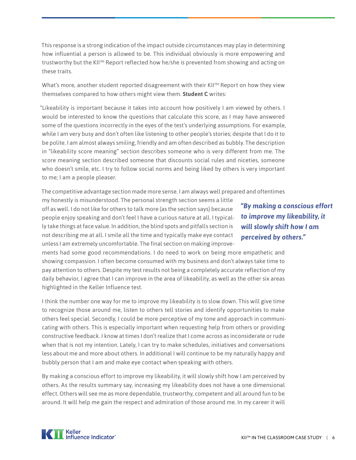This response is a strong indication of the impact outside circumstances may play in determining how influential a person is allowed to be. This individual obviously is more empowering and trustworthy but the KII™ Report reflected how he/she is prevented from showing and acting on these traits.

What's more, another student reported disagreement with their KII™ Report on how they view themselves compared to how others might view them. **Student C** writes:

"Likeability is important because it takes into account how positively I am viewed by others. I would be interested to know the questions that calculate this score, as I may have answered some of the questions incorrectly in the eyes of the test's underlying assumptions. For example, while I am very busy and don't often like listening to other people's stories; despite that I do it to be polite. I am almost always smiling, friendly and am often described as bubbly. The description in "likeability score meaning" section describes someone who is very different from me. The score meaning section described someone that discounts social rules and niceties, someone who doesn't smile, etc. I try to follow social norms and being liked by others is very important to me; I am a people pleaser.

The competitive advantage section made more sense. I am always well prepared and oftentimes

my honestly is misunderstood. The personal strength section seems a little off as well. I do not like for others to talk more (as the section says) because people enjoy speaking and don't feel I have a curious nature at all. I typically take things at face value. In addition, the blind spots and pitfalls section is not describing me at all. I smile all the time and typically make eye contact unless I am extremely uncomfortable. The final section on making improve-

*"By making a conscious effort to improve my likeability, it will slowly shift how I am perceived by others."*

ments had some good recommendations. I do need to work on being more empathetic and showing compassion. I often become consumed with my business and don't always take time to pay attention to others. Despite my test results not being a completely accurate reflection of my daily behavior, I agree that I can improve in the area of likeability, as well as the other six areas highlighted in the Keller Influence test.

I think the number one way for me to improve my likeability is to slow down. This will give time to recognize those around me, listen to others tell stories and identify opportunities to make others feel special. Secondly, I could be more perceptive of my tone and approach in communicating with others. This is especially important when requesting help from others or providing constructive feedback. I know at times I don't realize that I come across as inconsiderate or rude when that is not my intention. Lately, I can try to make schedules, initiatives and conversations less about me and more about others. In additional I will continue to be my naturally happy and bubbly person that I am and make eye contact when speaking with others.

By making a conscious effort to improve my likeability, it will slowly shift how I am perceived by others. As the results summary say, increasing my likeability does not have a one dimensional effect. Others will see me as more dependable, trustworthy, competent and all around fun to be around. It will help me gain the respect and admiration of those around me. In my career it will

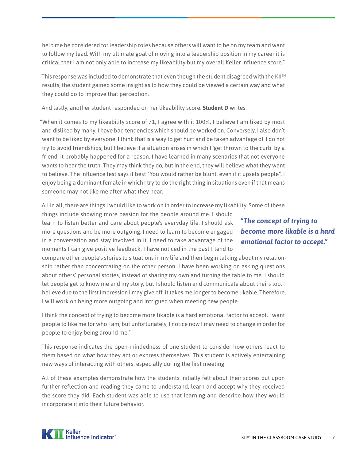help me be considered for leadership roles because others will want to be on my team and want to follow my lead. With my ultimate goal of moving into a leadership position in my career it is critical that I am not only able to increase my likeability but my overall Keller influence score."

This response was included to demonstrate that even though the student disagreed with the KII™ results, the student gained some insight as to how they could be viewed a certain way and what they could do to improve that perception.

And lastly, another student responded on her likeability score. **Student D** writes:

"When it comes to my likeability score of 71, I agree with it 100%. I believe I am liked by most and disliked by many. I have bad tendencies which should be worked on. Conversely, I also don't want to be liked by everyone. I think that is a way to get hurt and be taken advantage of. I do not try to avoid friendships, but I believe if a situation arises in which I 'get thrown to the curb' by a friend, it probably happened for a reason. I have learned in many scenarios that not everyone wants to hear the truth. They may think they do, but in the end, they will believe what they want to believe. The influence test says it best "You would rather be blunt, even if it upsets people". I enjoy being a dominant female in which I try to do the right thing in situations even if that means someone may not like me after what they hear.

All in all, there are things I would like to work on in order to increase my likability. Some of these

things include showing more passion for the people around me. I should learn to listen better and care about people's everyday life. I should ask more questions and be more outgoing. I need to learn to become engaged in a conversation and stay involved in it. I need to take advantage of the moments I can give positive feedback. I have noticed in the past I tend to

compare other people's stories to situations in my life and then begin talking about my relationship rather than concentrating on the other person. I have been working on asking questions about others' personal stories, instead of sharing my own and turning the table to me. I should let people get to know me and my story, but I should listen and communicate about theirs too. I believe due to the first impression I may give off, it takes me longer to become likable. Therefore, I will work on being more outgoing and intrigued when meeting new people.

I think the concept of trying to become more likable is a hard emotional factor to accept. I want people to like me for who I am, but unfortunately, I notice now I may need to change in order for people to enjoy being around me."

This response indicates the open-mindedness of one student to consider how others react to them based on what how they act or express themselves. This student is actively entertaining new ways of interacting with others, especially during the first meeting.

All of these examples demonstrate how the students initially felt about their scores but upon further reflection and reading they came to understand, learn and accept why they received the score they did. Each student was able to use that learning and describe how they would incorporate it into their future behavior.

#### *"The concept of trying to become more likable is a hard emotional factor to accept."*

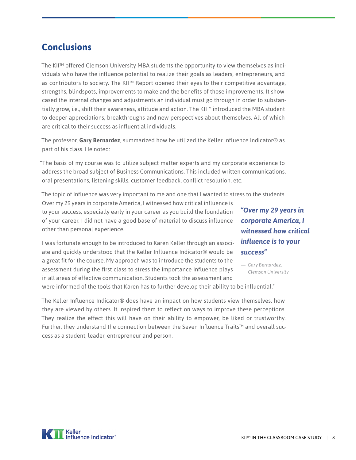#### <span id="page-9-0"></span>**Conclusions**

The KII™ offered Clemson University MBA students the opportunity to view themselves as individuals who have the influence potential to realize their goals as leaders, entrepreneurs, and as contributors to society. The KII™ Report opened their eyes to their competitive advantage, strengths, blindspots, improvements to make and the benefits of those improvements. It showcased the internal changes and adjustments an individual must go through in order to substantially grow, i.e., shift their awareness, attitude and action. The KII™ introduced the MBA student to deeper appreciations, breakthroughs and new perspectives about themselves. All of which are critical to their success as influential individuals.

The professor, **Gary Bernardez**, summarized how he utilized the Keller Influence Indicator® as part of his class. He noted:

"The basis of my course was to utilize subject matter experts and my corporate experience to address the broad subject of Business Communications. This included written communications, oral presentations, listening skills, customer feedback, conflict resolution, etc.

The topic of Influence was very important to me and one that I wanted to stress to the students.

Over my 29 years in corporate America, I witnessed how critical influence is to your success, especially early in your career as you build the foundation of your career. I did not have a good base of material to discuss influence other than personal experience.

I was fortunate enough to be introduced to Karen Keller through an associate and quickly understood that the Keller Influence Indicator® would be a great fit for the course. My approach was to introduce the students to the assessment during the first class to stress the importance influence plays in all areas of effective communication. Students took the assessment and

*"Over my 29 years in corporate America, I witnessed how critical influence is to your success"*

*— Gary Bernardez, Clemson University*

were informed of the tools that Karen has to further develop their ability to be influential."

The Keller Influence Indicator® does have an impact on how students view themselves, how they are viewed by others. It inspired them to reflect on ways to improve these perceptions. They realize the effect this will have on their ability to empower, be liked or trustworthy. Further, they understand the connection between the Seven Influence Traits™ and overall success as a student, leader, entrepreneur and person.